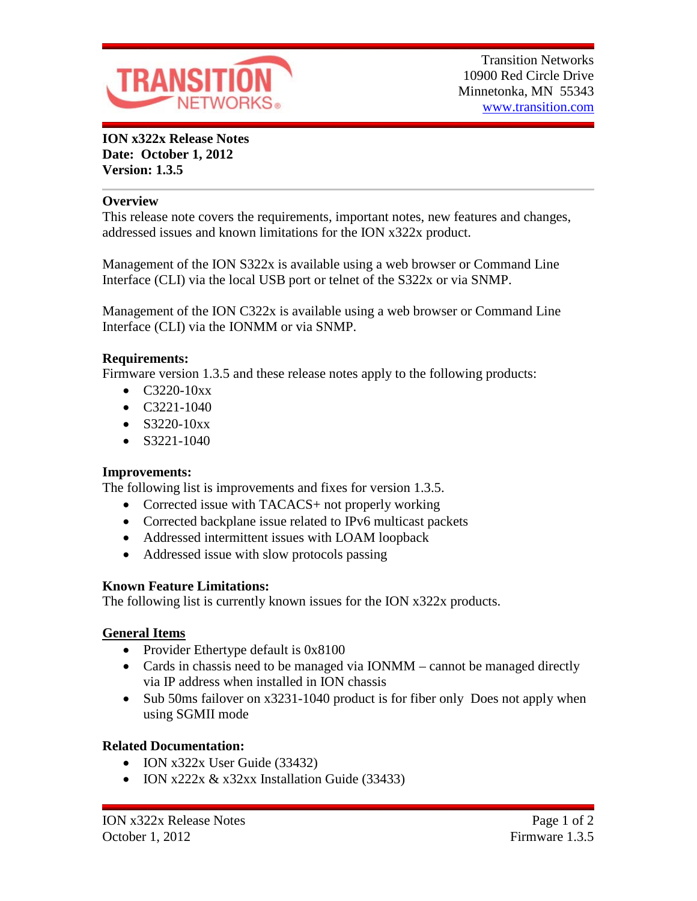

**ION x322x Release Notes Date: October 1, 2012 Version: 1.3.5**

#### **Overview**

This release note covers the requirements, important notes, new features and changes, addressed issues and known limitations for the ION x322x product.

Management of the ION S322x is available using a web browser or Command Line Interface (CLI) via the local USB port or telnet of the S322x or via SNMP.

Management of the ION C322x is available using a web browser or Command Line Interface (CLI) via the IONMM or via SNMP.

### **Requirements:**

Firmware version 1.3.5 and these release notes apply to the following products:

- $C3220-10xx$
- C3221-1040
- $S3220-10xx$
- $\bullet$  S3221-1040

### **Improvements:**

The following list is improvements and fixes for version 1.3.5.

- Corrected issue with TACACS+ not properly working
- Corrected backplane issue related to IPv6 multicast packets
- Addressed intermittent issues with LOAM loopback
- Addressed issue with slow protocols passing

### **Known Feature Limitations:**

The following list is currently known issues for the ION x322x products.

### **General Items**

- Provider Ethertype default is 0x8100
- Cards in chassis need to be managed via IONMM cannot be managed directly via IP address when installed in ION chassis
- Sub 50ms failover on x3231-1040 product is for fiber only Does not apply when using SGMII mode

# **Related Documentation:**

- ION x322x User Guide (33432)
- ION x222x  $& x32xx$  Installation Guide (33433)